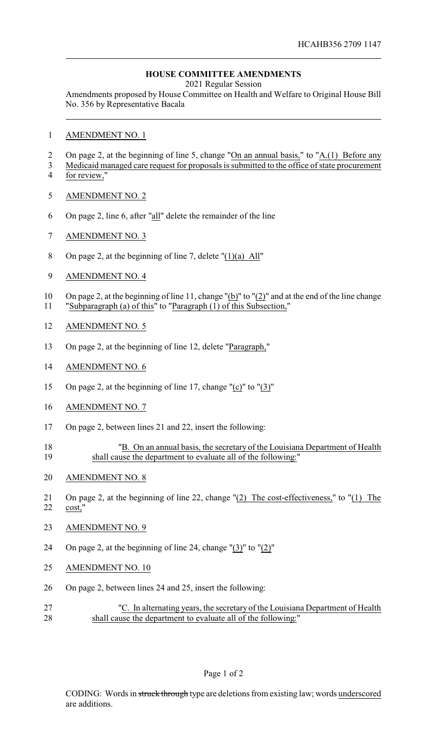## **HOUSE COMMITTEE AMENDMENTS**

2021 Regular Session

Amendments proposed by House Committee on Health and Welfare to Original House Bill No. 356 by Representative Bacala

- AMENDMENT NO. 1
- 2 On page 2, at the beginning of line 5, change "On an annual basis," to "A.(1) Before any
- Medicaid managed care request for proposals is submitted to the office of state procurement for review,"
- AMENDMENT NO. 2
- On page 2, line 6, after "all" delete the remainder of the line
- AMENDMENT NO. 3
- On page 2, at the beginning of line 7, delete "(1)(a) All"
- AMENDMENT NO. 4
- On page 2, at the beginning of line 11, change "(b)" to "(2)" and at the end of the line change "Subparagraph (a) of this" to "Paragraph (1) of this Subsection,"
- AMENDMENT NO. 5
- On page 2, at the beginning of line 12, delete "Paragraph,"
- AMENDMENT NO. 6
- On page 2, at the beginning of line 17, change "(c)" to "(3)"
- AMENDMENT NO. 7
- On page 2, between lines 21 and 22, insert the following:
- <sup>18</sup> <sup>"B.</sup> On an annual basis, the secretary of the Louisiana Department of Health<br>19 shall cause the department to evaluate all of the following:" shall cause the department to evaluate all of the following:"
- AMENDMENT NO. 8
- On page 2, at the beginning of line 22, change "(2) The cost-effectiveness," to "(1) The cost,"
- AMENDMENT NO. 9
- On page 2, at the beginning of line 24, change "(3)" to "(2)"
- AMENDMENT NO. 10
- On page 2, between lines 24 and 25, insert the following:
- "C. In alternating years, the secretary of the Louisiana Department of Health 28 shall cause the department to evaluate all of the following:"